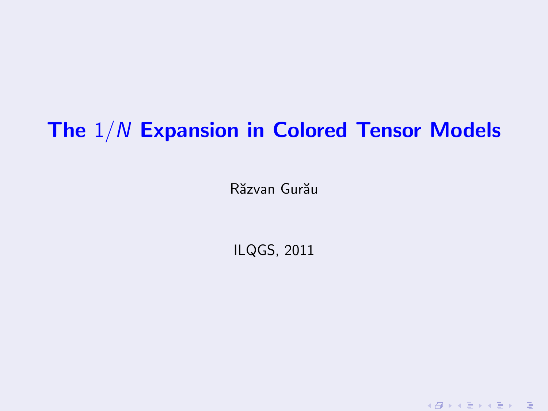### The  $1/N$  Expansion in Colored Tensor Models

Răzvan Gurău

<span id="page-0-0"></span>ILQGS, 2011

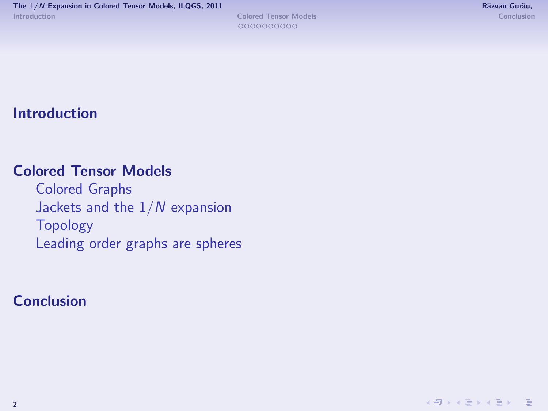#### [Introduction](#page-2-0)

#### [Colored Tensor Models](#page-7-0)

[Colored Graphs](#page-8-0) Jackets and the  $1/N$  expansion [Topology](#page-12-0) [Leading order graphs are spheres](#page-15-0)

#### **[Conclusion](#page-18-0)**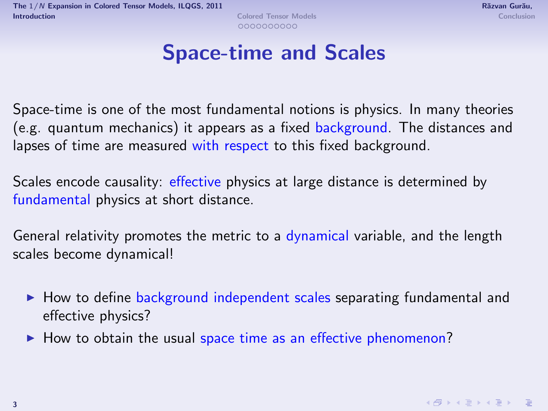<span id="page-2-0"></span>

#### Space-time and Scales

Space-time is one of the most fundamental notions is physics. In many theories (e.g. quantum mechanics) it appears as a fixed background. The distances and lapses of time are measured with respect to this fixed background.

Scales encode causality: effective physics at large distance is determined by fundamental physics at short distance.

General relativity promotes the metric to a dynamical variable, and the length scales become dynamical!

- $\blacktriangleright$  How to define background independent scales separating fundamental and effective physics?
- $\blacktriangleright$  How to obtain the usual space time as an effective phenomenon?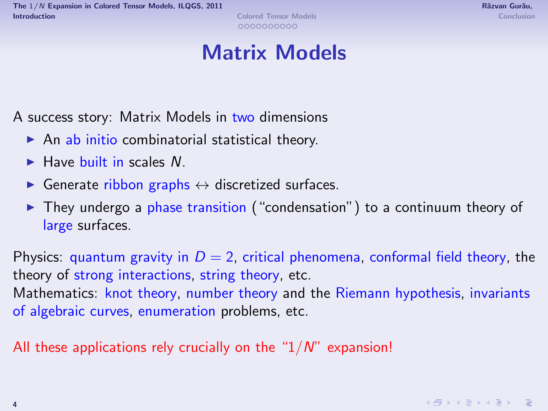#### Matrix Models

A success story: Matrix Models in two dimensions

- $\triangleright$  An ab initio combinatorial statistical theory.
- $\blacktriangleright$  Have built in scales  $N$
- $\triangleright$  Generate ribbon graphs  $\leftrightarrow$  discretized surfaces.
- $\triangleright$  They undergo a phase transition ("condensation") to a continuum theory of large surfaces.

Physics: quantum gravity in  $D = 2$ , critical phenomena, conformal field theory, the theory of strong interactions, string theory, etc. Mathematics: knot theory, number theory and the Riemann hypothesis, invariants of algebraic curves, enumeration problems, etc.

All these applications rely crucially on the " $1/N$ " expansion!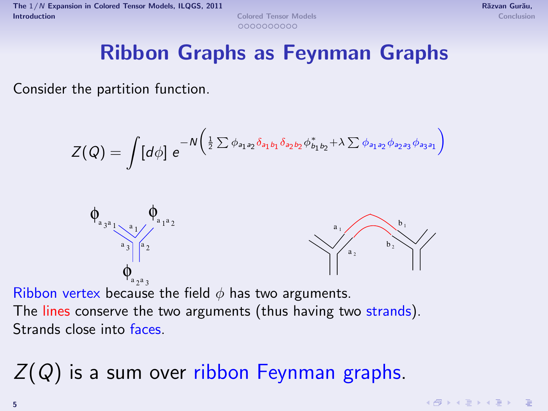### Ribbon Graphs as Feynman Graphs

Consider the partition function.

$$
Z(Q) = \int [d\phi] \; e^{-N\left(\frac{1}{2}\sum \phi_{a_1a_2}\delta_{a_1b_1}\delta_{a_2b_2}\phi_{b_1b_2}^* + \lambda \sum \phi_{a_1a_2}\phi_{a_2a_3}\phi_{a_3a_1}\right)}
$$



Ribbon vertex because the field  $\phi$  has two arguments. The lines conserve the two arguments (thus having two strands). Strands close into faces.

# $Z(Q)$  is a sum over ribbon Feynman graphs.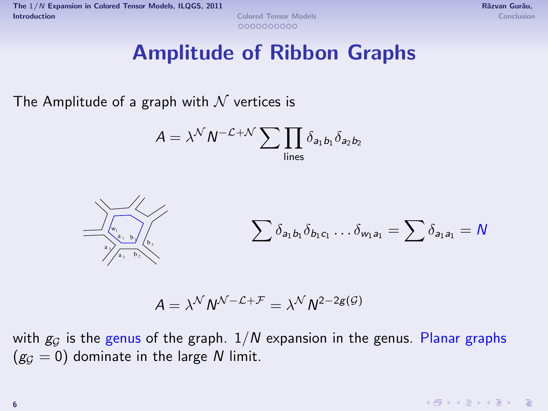#### Amplitude of Ribbon Graphs

The Amplitude of a graph with  $\mathcal N$  vertices is

$$
A = \lambda^{\mathcal{N}} N^{-\mathcal{L} + \mathcal{N}} \sum \prod_{\text{lines}} \delta_{a_1 b_1} \delta_{a_2 b_2}
$$



$$
A = \lambda^{\mathcal{N}} N^{\mathcal{N} - \mathcal{L} + \mathcal{F}} = \lambda^{\mathcal{N}} N^{2 - 2g(\mathcal{G})}
$$

with  $g_G$  is the genus of the graph.  $1/N$  expansion in the genus. Planar graphs  $(g_G = 0)$  dominate in the large N limit.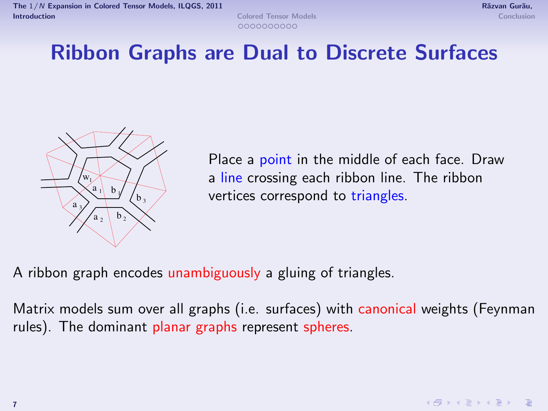

### Ribbon Graphs are Dual to Discrete Surfaces



Place a point in the middle of each face. Draw a line crossing each ribbon line. The ribbon vertices correspond to triangles.

A ribbon graph encodes unambiguously a gluing of triangles.

Matrix models sum over all graphs (i.e. surfaces) with canonical weights (Feynman rules). The dominant planar graphs represent spheres.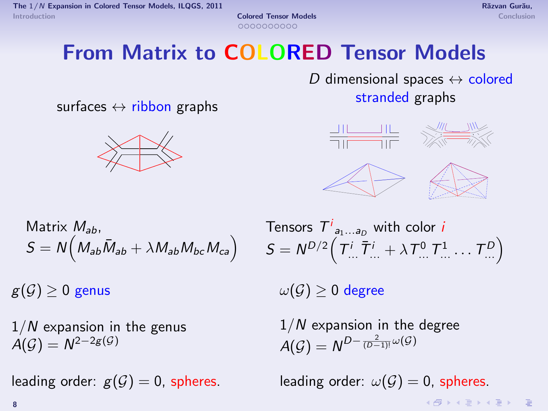## From Matrix to COLORED Tensor Models

D dimensional spaces  $\leftrightarrow$  colored stranded graphs

surfaces  $\leftrightarrow$  ribbon graphs





Matrix 
$$
M_{ab}
$$
,  
\n
$$
S = N \Big( M_{ab} \bar{M}_{ab} + \lambda M_{ab} M_{bc} M_{ca} \Big)
$$

 $1/N$  expansion in the genus  $A(\mathcal{G})=N^{2-2g(\mathcal{G})}$ 

Tensors  $\mathcal{T}^i_{a_1...a_D}$  with color  $i$  $\mathcal{S} = \mathcal{N}^{D/2} \Big(\, \mathcal{T}^i_{...} \, \bar{\mathcal{T}}^i_{...} + \lambda \, \mathcal{T}^0_{...} \, \mathcal{T}^1_{...} \dots \, \mathcal{T}^D_{...} \Big)$ 

 $g(\mathcal{G}) \geq 0$  genus  $\omega(\mathcal{G}) \geq 0$  degree

<span id="page-7-0"></span> $1/N$  expansion in the degree  $A(\mathcal{G})=N^{D-\frac{2}{(D-1)!}\omega(\mathcal{G})}$ 

leading order:  $g(G) = 0$ , spheres. leading order:  $\omega(G) = 0$ , spheres.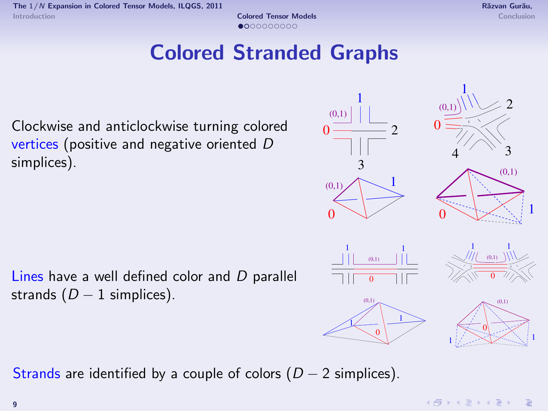1

<span id="page-8-0"></span>1

### Colored Stranded Graphs



Lines have a well defined color and D parallel strands  $(D - 1 \text{ simplices}).$ 

Strands are identified by a couple of colors  $(D - 2 \text{ simplices})$ .

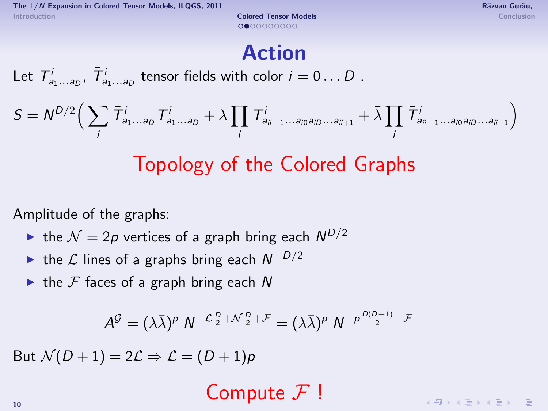The  $1/N$  [Expansion in Colored Tensor Models,](#page-0-0) ILQGS, 2011 Richards and Curvan Curvan Curvan Gurau, Răzvan Gurău, [Introduction](#page-2-0) **[Colored Tensor Models](#page-7-0)** [Conclusion](#page-18-0) **Colored Tensor Models** Conclusion Conclusion

#### Action

Let  $T_{a_1...a_D}^i$ ,  $\bar{T}_{a_1...a_D}^i$  tensor fields with color  $i=0...D$  .

$$
S = N^{D/2} \Big( \sum_i \overline{\mathcal{T}}_{a_1 \ldots a_D}^i T^i_{a_1 \ldots a_D} + \lambda \prod_i T^i_{a_{ii-1} \ldots a_{i0} a_{i0} \ldots a_{ii+1}} + \bar{\lambda} \prod_i \overline{\mathcal{T}}_{a_{ii-1} \ldots a_{i0} a_{i0} \ldots a_{ii+1}}^i \Big)
$$

## Topology of the Colored Graphs

Amplitude of the graphs:

- ightharpoonup the  $\mathcal{N}=2p$  vertices of a graph bring each  $N^{D/2}$
- ► the  $\mathcal L$  lines of a graphs bring each  $N^{-D/2}$
- $\triangleright$  the F faces of a graph bring each N

$$
A^{\mathcal{G}} = (\lambda \bar{\lambda})^p N^{-\mathcal{L}\frac{D}{2} + \mathcal{N}\frac{D}{2} + \mathcal{F}} = (\lambda \bar{\lambda})^p N^{-p\frac{D(D-1)}{2} + \mathcal{F}}
$$

But  $\mathcal{N}(D+1) = 2\mathcal{L} \Rightarrow \mathcal{L} = (D+1)p$ 

Compute  $\mathcal{F}$ !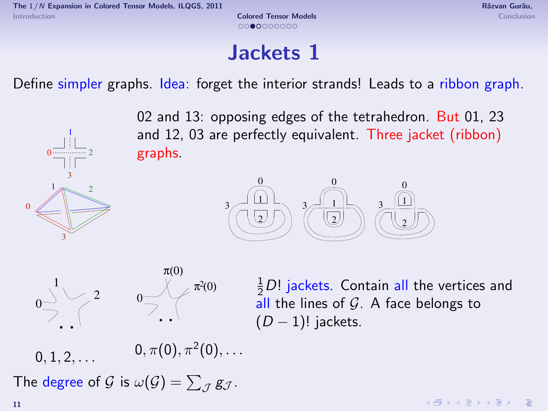$0$  ........ 1

 $3^{\sim}$ 

2

2 3  $1<sub>AB</sub>$ 

 $\sqrt{ }$ 

#### Jackets 1

Define simpler graphs. Idea: forget the interior strands! Leads to a ribbon graph.

02 and 13: opposing edges of the tetrahedron. But 01, 23 and 12, 03 are perfectly equivalent. Three jacket (ribbon) graphs.





<span id="page-10-0"></span>

 $0, 1, 2, \ldots$  $0,\pi(0),\pi^2(0),\ldots$ 

The degree of  $\mathcal G$  is  $\omega(\mathcal G)=\sum_{\mathcal J}\mathcal g_{\mathcal J}.$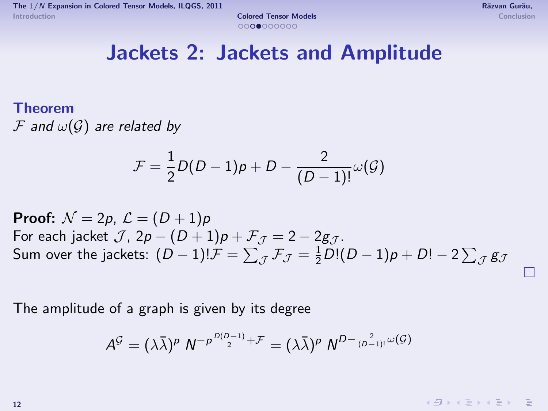П

#### Jackets 2: Jackets and Amplitude

#### Theorem

 $\mathcal F$  and  $\omega(\mathcal G)$  are related by

$$
\mathcal{F}=\frac{1}{2}D(D-1)\rho+D-\frac{2}{(D-1)!}\omega(\mathcal{G})
$$

**Proof:**  $\mathcal{N} = 2p$ ,  $\mathcal{L} = (D+1)p$ For each jacket  $\mathcal{J}$ ,  $2p - (D+1)p + \mathcal{F}$  $\tau = 2 - 2g\tau$ . Sum over the jackets:  $(D-1)! \mathcal{F} = \sum_{\mathcal{J}} \mathcal{F}_{\mathcal{J}} = \frac{1}{2} D! (D-1) p + D! - 2 \sum_{\mathcal{J}} \mathcal{g}_{\mathcal{J}}$ 

The amplitude of a graph is given by its degree

$$
A^{\mathcal{G}} = (\lambda \bar{\lambda})^p N^{-p\frac{D(D-1)}{2} + \mathcal{F}} = (\lambda \bar{\lambda})^p N^{D - \frac{2}{(D-1)!} \omega(\mathcal{G})}
$$

 $\left\{ \frac{1}{10} \right\}$   $\left\{ \frac{1}{2} \right\}$   $\left\{ \frac{1}{2} \right\}$   $\left\{ \frac{1}{2} \right\}$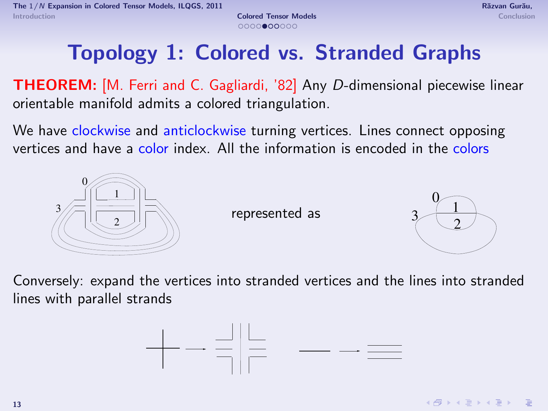### Topology 1: Colored vs. Stranded Graphs

**THEOREM:** [M. Ferri and C. Gagliardi, '82] Any D-dimensional piecewise linear orientable manifold admits a colored triangulation.

We have clockwise and anticlockwise turning vertices. Lines connect opposing vertices and have a color index. All the information is encoded in the colors



represented as

<span id="page-12-0"></span>

Conversely: expand the vertices into stranded vertices and the lines into stranded lines with parallel strands

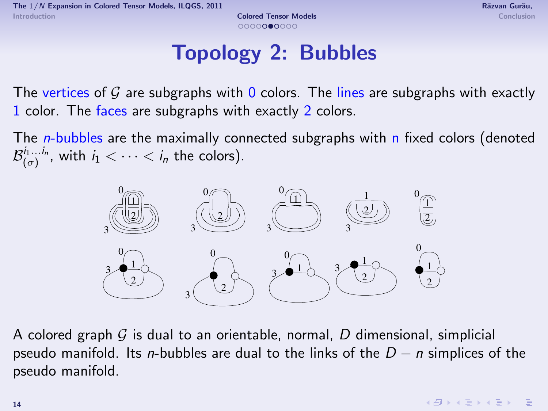# Topology 2: Bubbles

The vertices of G are subgraphs with 0 colors. The lines are subgraphs with exactly color. The faces are subgraphs with exactly 2 colors.

The *n*-bubbles are the maximally connected subgraphs with n fixed colors (denoted  $\mathcal{B}^{i_1...i_n}_{(\sigma)}$ , with  $i_1 < \cdots < i_n$  the colors).



A colored graph  $G$  is dual to an orientable, normal, D dimensional, simplicial pseudo manifold. Its n-bubbles are dual to the links of the  $D - n$  simplices of the pseudo manifold.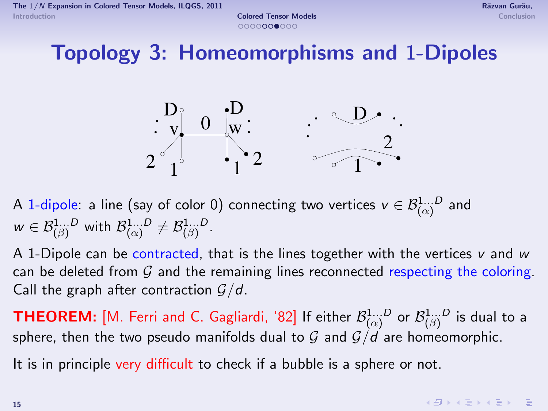Topology 3: Homeomorphisms and 1-Dipoles



A 1-dipole: a line (say of color 0) connecting two vertices  $v\in \mathcal{B}^{1...D}_{(\alpha)}$  and  $w \in \mathcal{B}_{(\beta)}^{1...D}$  with  $\mathcal{B}_{(\alpha)}^{1...D} \neq \mathcal{B}_{(\beta)}^{1...D}$ .

A 1-Dipole can be contracted, that is the lines together with the vertices v and w can be deleted from  $G$  and the remaining lines reconnected respecting the coloring. Call the graph after contraction  $G/d$ .

<code>THEOREM:</code> [M. Ferri and C. Gagliardi, '82] If either  $\mathcal{B}^{1...D}_{(\alpha)}$  or  $\mathcal{B}^{1...D}_{(\beta)}$  is dual to a sphere, then the two pseudo manifolds dual to  $G$  and  $G/d$  are homeomorphic.

It is in principle very difficult to check if a bubble is a sphere or not.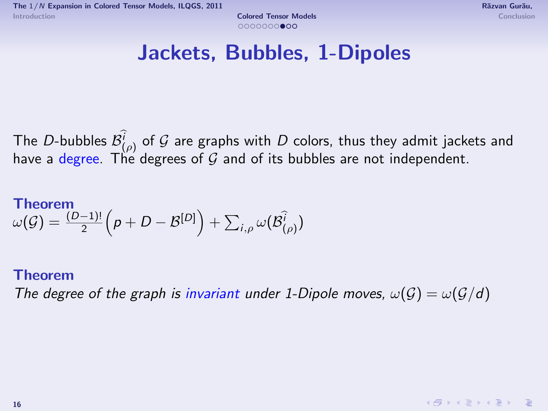<span id="page-15-0"></span>

#### Jackets, Bubbles, 1-Dipoles

The D-bubbles  $\mathcal{B}^i_{(\rho)}$  of  $\mathcal G$  are graphs with  $D$  colors, thus they admit jackets and have a degree. The degrees of  $G$  and of its bubbles are not independent.

#### Theorem  $\omega(\mathcal{G}) = \frac{(D-1)!}{2} \Big( \rho + D - \mathcal{B}^{[D]}\Big) + \sum_{i,\rho} \omega(\mathcal{B}^{\widehat{i}}_{(\rho)})$

#### Theorem

The degree of the graph is invariant under 1-Dipole moves,  $\omega(G) = \omega(G/d)$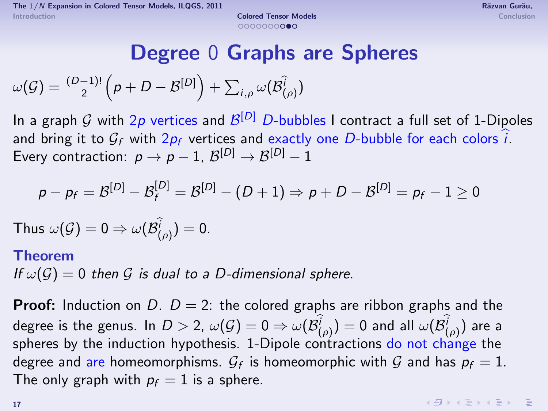#### Degree 0 Graphs are Spheres

 $\omega(\mathcal{G}) = \frac{(D-1)!}{2} \Big( \rho + D - \mathcal{B}^{[D]}\Big) + \sum_{i,\rho} \omega(\mathcal{B}^{\widehat{i}}_{(\rho)})$ 

In a graph  ${\cal G}$  with  $2p$  vertices and  ${\cal B}^{[D]}$   $D$ -bubbles I contract a full set of 1-Dipoles and bring it to  $G_f$  with  $2p_f$  vertices and exactly one D-bubble for each colors i. Every contraction:  $p \to p-1$ ,  $\mathcal{B}^{[D]} \to \mathcal{B}^{[D]}-1$ 

$$
p-p_f=\mathcal{B}^{[D]}-\mathcal{B}^{[D]}_f=\mathcal{B}^{[D]}-(D+1)\Rightarrow p+D-\mathcal{B}^{[D]}=p_f-1\geq 0
$$

Thus  $\omega(\mathcal{G})=0 \Rightarrow \omega(\mathcal{B}^i_{(\rho)})=0.$ 

#### Theorem

If  $\omega(\mathcal{G}) = 0$  then  $\mathcal{G}$  is dual to a D-dimensional sphere.

**Proof:** Induction on D.  $D = 2$ : the colored graphs are ribbon graphs and the degree is the genus. In  $D>$  2,  $\omega(\mathcal{G})=0$   $\Rightarrow$   $\omega(\mathcal{B}^i_{(\rho)})=0$  and all  $\omega(\mathcal{B}^i_{(\rho)})$  are a spheres by the induction hypothesis. 1-Dipole contractions do not change the degree and are homeomorphisms.  $\mathcal{G}_f$  is homeomorphic with  $\mathcal G$  and has  $p_f=1$ . The only graph with  $p_f = 1$  is a sphere.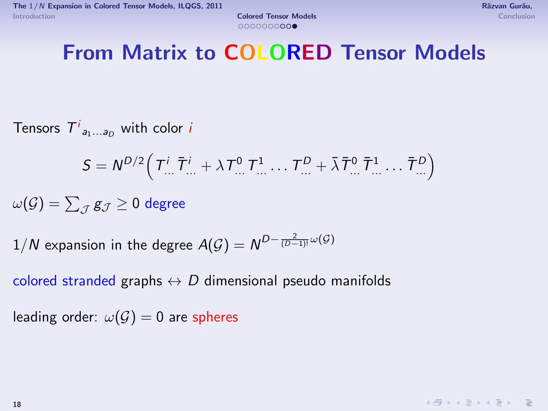### From Matrix to COLORED Tensor Models

Tensors  $\mathcal{T}^i_{a_1...a_D}$  with color  $i$ 

$$
S = N^{D/2} \left( T^i_{\dots} \bar{T}^i_{\dots} + \lambda T^0_{\dots} T^1_{\dots} \dots T^D_{\dots} + \bar{\lambda} \bar{T}^0_{\dots} \bar{T}^1_{\dots} \dots \bar{T}^D_{\dots} \right)
$$

 $\omega(\mathcal{G}) = \sum_{\mathcal{J}} \mathcal{g}_{\mathcal{J}} \geq 0$  degree

 $1/N$  expansion in the degree  $A(\mathcal{G})=N^{D-\frac{2}{(D-1)!}\omega(\mathcal{G})}$ 

colored stranded graphs  $\leftrightarrow D$  dimensional pseudo manifolds

leading order:  $\omega(\mathcal{G})=0$  are spheres